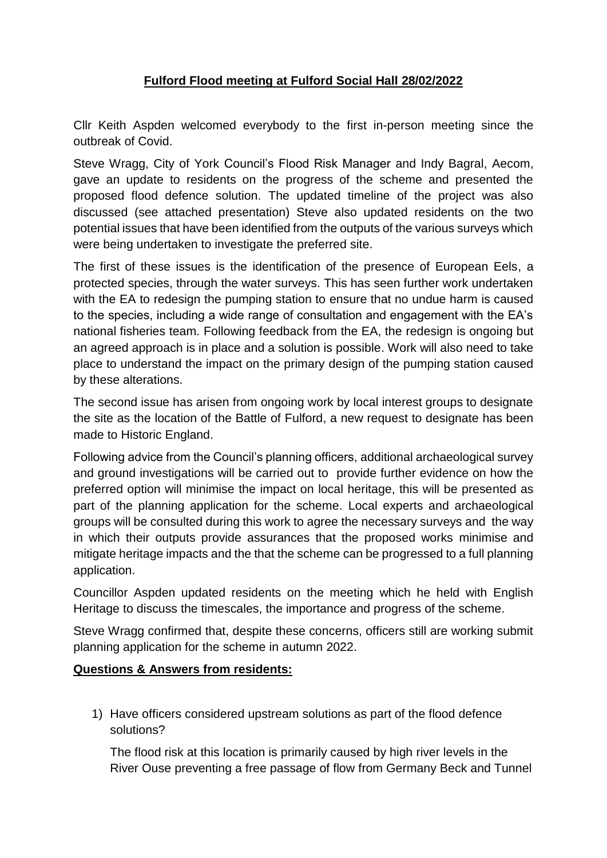## **Fulford Flood meeting at Fulford Social Hall 28/02/2022**

Cllr Keith Aspden welcomed everybody to the first in-person meeting since the outbreak of Covid.

Steve Wragg, City of York Council's Flood Risk Manager and Indy Bagral, Aecom, gave an update to residents on the progress of the scheme and presented the proposed flood defence solution. The updated timeline of the project was also discussed (see attached presentation) Steve also updated residents on the two potential issues that have been identified from the outputs of the various surveys which were being undertaken to investigate the preferred site.

The first of these issues is the identification of the presence of European Eels, a protected species, through the water surveys. This has seen further work undertaken with the EA to redesign the pumping station to ensure that no undue harm is caused to the species, including a wide range of consultation and engagement with the EA's national fisheries team. Following feedback from the EA, the redesign is ongoing but an agreed approach is in place and a solution is possible. Work will also need to take place to understand the impact on the primary design of the pumping station caused by these alterations.

The second issue has arisen from ongoing work by local interest groups to designate the site as the location of the Battle of Fulford, a new request to designate has been made to Historic England.

Following advice from the Council's planning officers, additional archaeological survey and ground investigations will be carried out to provide further evidence on how the preferred option will minimise the impact on local heritage, this will be presented as part of the planning application for the scheme. Local experts and archaeological groups will be consulted during this work to agree the necessary surveys and the way in which their outputs provide assurances that the proposed works minimise and mitigate heritage impacts and the that the scheme can be progressed to a full planning application.

Councillor Aspden updated residents on the meeting which he held with English Heritage to discuss the timescales, the importance and progress of the scheme.

Steve Wragg confirmed that, despite these concerns, officers still are working submit planning application for the scheme in autumn 2022.

## **Questions & Answers from residents:**

1) Have officers considered upstream solutions as part of the flood defence solutions?

The flood risk at this location is primarily caused by high river levels in the River Ouse preventing a free passage of flow from Germany Beck and Tunnel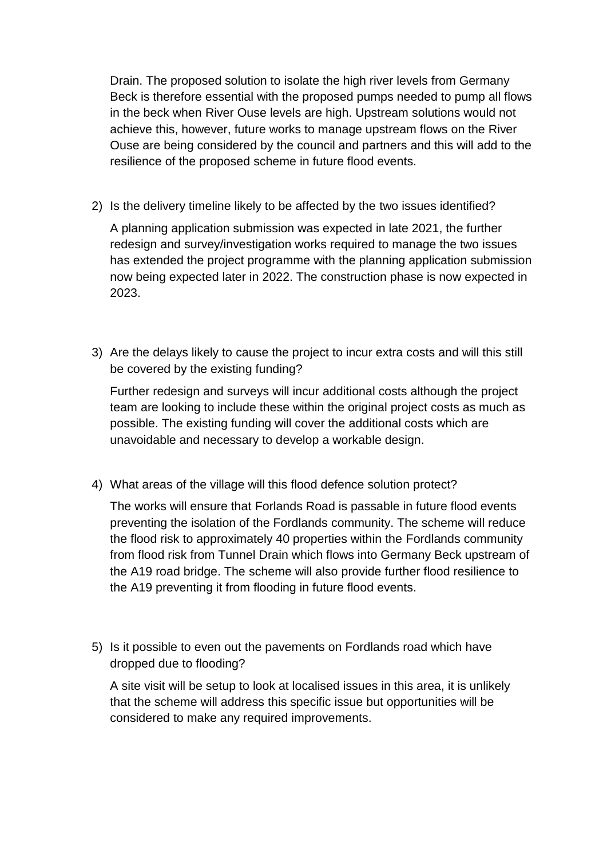Drain. The proposed solution to isolate the high river levels from Germany Beck is therefore essential with the proposed pumps needed to pump all flows in the beck when River Ouse levels are high. Upstream solutions would not achieve this, however, future works to manage upstream flows on the River Ouse are being considered by the council and partners and this will add to the resilience of the proposed scheme in future flood events.

2) Is the delivery timeline likely to be affected by the two issues identified?

A planning application submission was expected in late 2021, the further redesign and survey/investigation works required to manage the two issues has extended the project programme with the planning application submission now being expected later in 2022. The construction phase is now expected in 2023.

3) Are the delays likely to cause the project to incur extra costs and will this still be covered by the existing funding?

Further redesign and surveys will incur additional costs although the project team are looking to include these within the original project costs as much as possible. The existing funding will cover the additional costs which are unavoidable and necessary to develop a workable design.

4) What areas of the village will this flood defence solution protect?

The works will ensure that Forlands Road is passable in future flood events preventing the isolation of the Fordlands community. The scheme will reduce the flood risk to approximately 40 properties within the Fordlands community from flood risk from Tunnel Drain which flows into Germany Beck upstream of the A19 road bridge. The scheme will also provide further flood resilience to the A19 preventing it from flooding in future flood events.

5) Is it possible to even out the pavements on Fordlands road which have dropped due to flooding?

A site visit will be setup to look at localised issues in this area, it is unlikely that the scheme will address this specific issue but opportunities will be considered to make any required improvements.